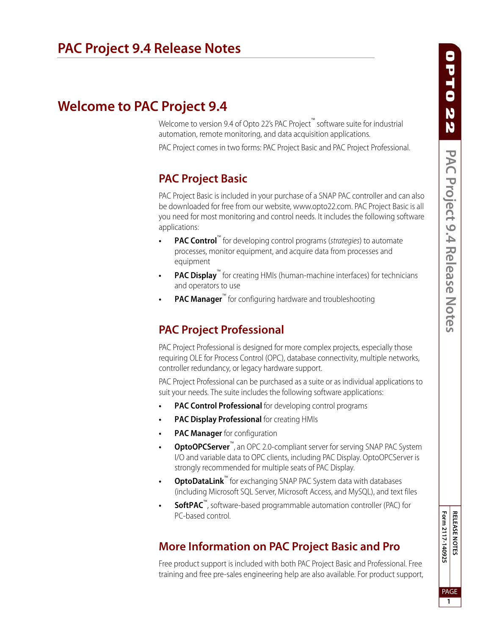# **Welcome to PAC Project 9.4**

Welcome to version 9.4 of Opto 22's PAC Project™ software suite for industrial automation, remote monitoring, and data acquisition applications.

PAC Project comes in two forms: PAC Project Basic and PAC Project Professional.

## **PAC Project Basic**

PAC Project Basic is included in your purchase of a SNAP PAC controller and can also be downloaded for free from our website, www.opto22.com. PAC Project Basic is all you need for most monitoring and control needs. It includes the following software applications:

- **PAC Control**<sup>™</sup> for developing control programs (*strategies*) to automate processes, monitor equipment, and acquire data from processes and equipment
- **PAC Display**<sup>™</sup> for creating HMIs (human-machine interfaces) for technicians and operators to use
- **PAC Manager**<sup>™</sup> for configuring hardware and troubleshooting

# **PAC Project Professional**

PAC Project Professional is designed for more complex projects, especially those requiring OLE for Process Control (OPC), database connectivity, multiple networks, controller redundancy, or legacy hardware support.

PAC Project Professional can be purchased as a suite or as individual applications to suit your needs. The suite includes the following software applications:

- **PAC Control Professional** for developing control programs
- **PAC Display Professional** for creating HMIs
- **PAC Manager** for configuration
- **OptoOPCServer™**, an OPC 2.0-compliant server for serving SNAP PAC System I/O and variable data to OPC clients, including PAC Display. OptoOPCServer is strongly recommended for multiple seats of PAC Display.
- **OptoDataLink™** for exchanging SNAP PAC System data with databases (including Microsoft SQL Server, Microsoft Access, and MySQL), and text files
- **SoftPAC**™, software-based programmable automation controller (PAC) for PC-based control.

## **More Information on PAC Project Basic and Pro**

Free product support is included with both PAC Project Basic and Professional. Free training and free pre-sales engineering help are also available. For product support, Form 2117-140925 RELEASE NOTES **Form 2117-140925** PAGE **1**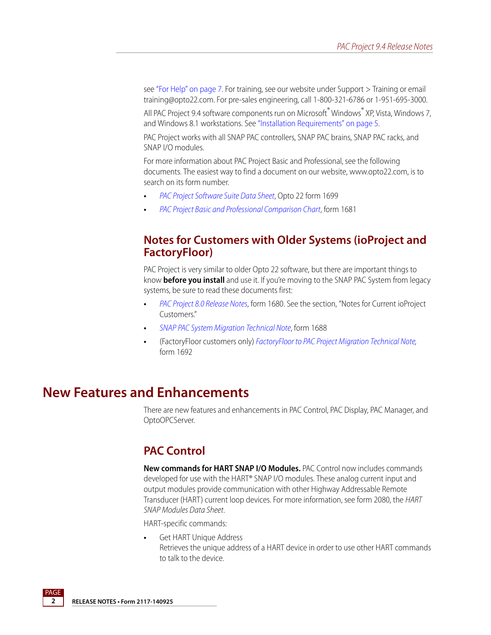see ["For Help" on page 7.](#page-6-0) For training, see our website under Support > Training or email training@opto22.com. For pre-sales engineering, call 1-800-321-6786 or 1-951-695-3000.

All PAC Project 9.4 software components run on Microsoft® Windows® XP, Vista, Windows 7, and Windows 8.1 workstations. See ["Installation Requirements" on page 5.](#page-4-0)

PAC Project works with all SNAP PAC controllers, SNAP PAC brains, SNAP PAC racks, and SNAP I/O modules.

For more information about PAC Project Basic and Professional, see the following documents. The easiest way to find a document on our website, www.opto22.com, is to search on its form number.

- **•** [PAC Project Software Suite Data Sheet](http://www.opto22.com/documents/1699_PAC_Project_Data_Sheet.pdf), Opto 22 form 1699
- **•** [PAC Project Basic and Professional Comparison Chart](http://www.opto22.com/documents/1681_PAC_Project_Basic_Pro_Comparison_Chart.pdf), form 1681

#### **Notes for Customers with Older Systems (ioProject and FactoryFloor)**

PAC Project is very similar to older Opto 22 software, but there are important things to know **before you install** and use it. If you're moving to the SNAP PAC System from legacy systems, be sure to read these documents first:

- **•** [PAC Project 8.0 Release Notes](http://www.opto22.com/documents/1680_PAC_Project_80_Release_Notes.pdf), form 1680. See the section, "Notes for Current ioProject Customers."
- **•** [SNAP PAC System Migration Technical Note](http://www.opto22.com/documents/1688_SNAP_PAC_System_Migration_Tech_Note.pdf), form 1688
- **•** (FactoryFloor customers only) [FactoryFloor to PAC Project Migration Technical Note,](http://www.opto22.com/documents/1688_SNAP_PAC_System_Migration_Tech_Note.pdf) form 1692

### **New Features and Enhancements**

There are new features and enhancements in PAC Control, PAC Display, PAC Manager, and OptoOPCServer.

#### <span id="page-1-0"></span>**PAC Control**

**New commands for HART SNAP I/O Modules.** PAC Control now includes commands developed for use with the HART® SNAP I/O modules. These analog current input and output modules provide communication with other Highway Addressable Remote Transducer (HART) current loop devices. For more information, see form 2080, the HART SNAP Modules Data Sheet.

HART-specific commands:

**•** Get HART Unique Address Retrieves the unique address of a HART device in order to use other HART commands to talk to the device.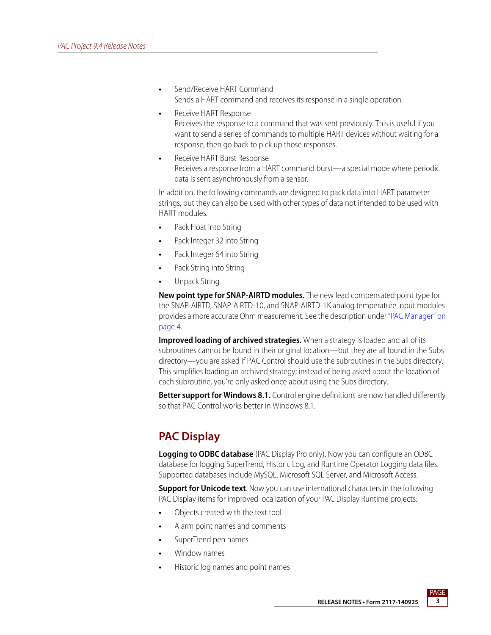- **•** Send/Receive HART Command Sends a HART command and receives its response in a single operation.
- **•** Receive HART Response Receives the response to a command that was sent previously. This is useful if you want to send a series of commands to multiple HART devices without waiting for a response, then go back to pick up those responses.
- **•** Receive HART Burst Response Receives a response from a HART command burst—a special mode where periodic data is sent asynchronously from a sensor.

In addition, the following commands are designed to pack data into HART parameter strings, but they can also be used with other types of data not intended to be used with HART modules.

- **•** Pack Float into String
- **•** Pack Integer 32 into String
- **•** Pack Integer 64 into String
- **•** Pack String into String
- **•** Unpack String

**New point type for SNAP-AIRTD modules.** The new lead compensated point type for the SNAP-AIRTD, SNAP-AIRTD-10, and SNAP-AIRTD-1K analog temperature input modules provides a more accurate Ohm measurement. See the description under ["PAC Manager" on](#page-3-0)  [page 4](#page-3-0).

**Improved loading of archived strategies.** When a strategy is loaded and all of its subroutines cannot be found in their original location—but they are all found in the Subs directory—you are asked if PAC Control should use the subroutines in the Subs directory. This simplifies loading an archived strategy; instead of being asked about the location of each subroutine, you're only asked once about using the Subs directory.

**Better support for Windows 8.1.** Control engine definitions are now handled differently so that PAC Control works better in Windows 8.1.

## **PAC Display**

**Logging to ODBC database** (PAC Display Pro only). Now you can configure an ODBC database for logging SuperTrend, Historic Log, and Runtime Operator Logging data files. Supported databases include MySQL, Microsoft SQL Server, and Microsoft Access.

**Support for Unicode text**. Now you can use international characters in the following PAC Display items for improved localization of your PAC Display Runtime projects:

- **•** Objects created with the text tool
- **•** Alarm point names and comments
- **•** SuperTrend pen names
- **•** Window names
- **•** Historic log names and point names

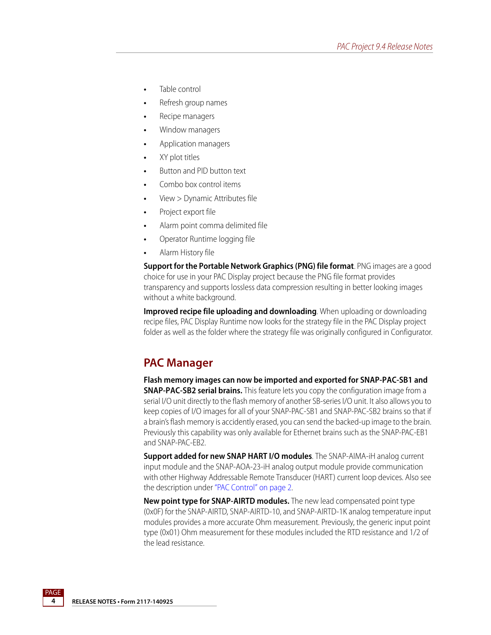- **•** Table control
- **•** Refresh group names
- **•** Recipe managers
- **•** Window managers
- **•** Application managers
- **•** XY plot titles
- **•** Button and PID button text
- **•** Combo box control items
- **•** View > Dynamic Attributes file
- **•** Project export file
- **•** Alarm point comma delimited file
- **•** Operator Runtime logging file
- **•** Alarm History file

**Support for the Portable Network Graphics (PNG) file format**. PNG images are a good choice for use in your PAC Display project because the PNG file format provides transparency and supports lossless data compression resulting in better looking images without a white background.

**Improved recipe file uploading and downloading**. When uploading or downloading recipe files, PAC Display Runtime now looks for the strategy file in the PAC Display project folder as well as the folder where the strategy file was originally configured in Configurator.

### <span id="page-3-0"></span>**PAC Manager**

**Flash memory images can now be imported and exported for SNAP-PAC-SB1 and SNAP-PAC-SB2 serial brains.** This feature lets you copy the configuration image from a serial I/O unit directly to the flash memory of another SB-series I/O unit. It also allows you to keep copies of I/O images for all of your SNAP-PAC-SB1 and SNAP-PAC-SB2 brains so that if a brain's flash memory is accidently erased, you can send the backed-up image to the brain. Previously this capability was only available for Ethernet brains such as the SNAP-PAC-EB1 and SNAP-PAC-EB2.

**Support added for new SNAP HART I/O modules**. The SNAP-AIMA-iH analog current input module and the SNAP-AOA-23-iH analog output module provide communication with other Highway Addressable Remote Transducer (HART) current loop devices. Also see the description under ["PAC Control" on page 2.](#page-1-0)

**New point type for SNAP-AIRTD modules.** The new lead compensated point type (0x0F) for the SNAP-AIRTD, SNAP-AIRTD-10, and SNAP-AIRTD-1K analog temperature input modules provides a more accurate Ohm measurement. Previously, the generic input point type (0x01) Ohm measurement for these modules included the RTD resistance and 1/2 of the lead resistance.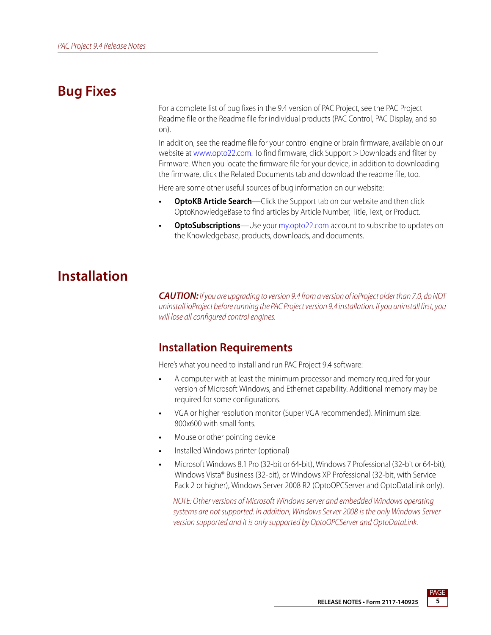# **Bug Fixes**

For a complete list of bug fixes in the 9.4 version of PAC Project, see the PAC Project Readme file or the Readme file for individual products (PAC Control, PAC Display, and so on).

In addition, see the readme file for your control engine or brain firmware, available on our website at [www.opto22.com](http://www.opto22.com/). To find firmware, click Support > Downloads and filter by Firmware. When you locate the firmware file for your device, in addition to downloading the firmware, click the Related Documents tab and download the readme file, too.

Here are some other useful sources of bug information on our website:

- **OptoKB Article Search**—Click the Support tab on our website and then click OptoKnowledgeBase to find articles by Article Number, Title, Text, or Product.
- **OptoSubscriptions**—Use your [my.opto22.com](http://www.opto22.com/site/myopto/my_index.aspx) account to subscribe to updates on the Knowledgebase, products, downloads, and documents.

# **Installation**

*CAUTION:* If you are upgrading to version 9.4 from a version of ioProject older than 7.0, do NOT uninstall ioProject before running the PAC Project version 9.4 installation. If you uninstall first, you will lose all configured control engines.

### <span id="page-4-0"></span>**Installation Requirements**

Here's what you need to install and run PAC Project 9.4 software:

- **•** A computer with at least the minimum processor and memory required for your version of Microsoft Windows, and Ethernet capability. Additional memory may be required for some configurations.
- **•** VGA or higher resolution monitor (Super VGA recommended). Minimum size: 800x600 with small fonts.
- **•** Mouse or other pointing device
- **•** Installed Windows printer (optional)
- **•** Microsoft Windows 8.1 Pro (32-bit or 64-bit), Windows 7 Professional (32-bit or 64-bit), Windows Vista® Business (32-bit), or Windows XP Professional (32-bit, with Service Pack 2 or higher), Windows Server 2008 R2 (OptoOPCServer and OptoDataLink only).

NOTE: Other versions of Microsoft Windows server and embedded Windows operating systems are not supported. In addition, Windows Server 2008 is the only Windows Server version supported and it is only supported by OptoOPCServer and OptoDataLink.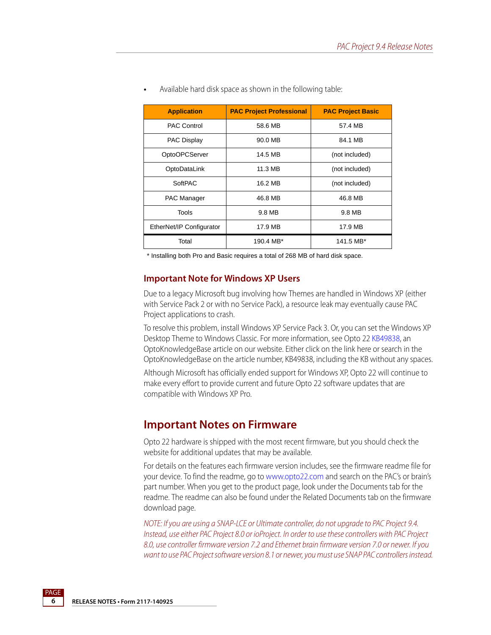| <b>Application</b>       | <b>PAC Project Professional</b> | <b>PAC Project Basic</b> |
|--------------------------|---------------------------------|--------------------------|
| <b>PAC Control</b>       | 58.6 MB                         | 57.4 MB                  |
| <b>PAC Display</b>       | 90.0 MB                         | 84.1 MB                  |
| <b>OptoOPCServer</b>     | 14.5 MB                         | (not included)           |
| OptoDataLink             | 11.3 MB                         | (not included)           |
| SoftPAC                  | 16.2 MB                         | (not included)           |
| PAC Manager              | 46.8 MB                         | 46.8 MB                  |
| Tools                    | 9.8 MB                          | 9.8 MB                   |
| EtherNet/IP Configurator | 17.9 MB                         | 17.9 MB                  |
| Total                    | 190.4 MB*                       | 141.5 MB*                |

**•** Available hard disk space as shown in the following table:

\* Installing both Pro and Basic requires a total of 268 MB of hard disk space.

#### **Important Note for Windows XP Users**

Due to a legacy Microsoft bug involving how Themes are handled in Windows XP (either with Service Pack 2 or with no Service Pack), a resource leak may eventually cause PAC Project applications to crash.

To resolve this problem, install Windows XP Service Pack 3. Or, you can set the Windows XP Desktop Theme to Windows Classic. For more information, see Opto 22 [KB49838,](http://www.opto22.com/site/documents/viewarticle.aspx?aid=1107) an OptoKnowledgeBase article on our website. Either click on the link here or search in the OptoKnowledgeBase on the article number, KB49838, including the KB without any spaces.

Although Microsoft has officially ended support for Windows XP, Opto 22 will continue to make every effort to provide current and future Opto 22 software updates that are compatible with Windows XP Pro.

#### **Important Notes on Firmware**

Opto 22 hardware is shipped with the most recent firmware, but you should check the website for additional updates that may be available.

For details on the features each firmware version includes, see the firmware readme file for your device. To find the readme, go to [www.opto22.com](http://www.opto22.com) and search on the PAC's or brain's part number. When you get to the product page, look under the Documents tab for the readme. The readme can also be found under the Related Documents tab on the firmware download page.

NOTE: If you are using a SNAP-LCE or Ultimate controller, do not upgrade to PAC Project 9.4. Instead, use either PAC Project 8.0 or ioProject. In order to use these controllers with PAC Project 8.0, use controller firmware version 7.2 and Ethernet brain firmware version 7.0 or newer. If you want to use PAC Project software version 8.1 or newer, you must use SNAP PAC controllers instead.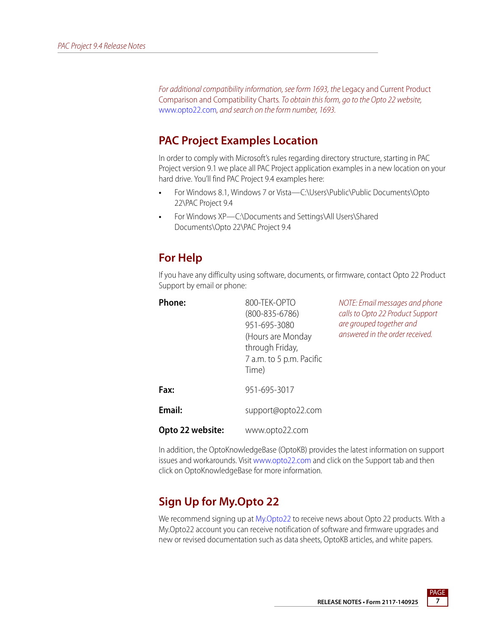For additional compatibility information, see form 1693, the Legacy and Current Product Comparison and Compatibility Charts. To obtain this form, go to the Opto 22 website, [www.opto22.com](http://www.opto22.com), and search on the form number, 1693.

### **PAC Project Examples Location**

In order to comply with Microsoft's rules regarding directory structure, starting in PAC Project version 9.1 we place all PAC Project application examples in a new location on your hard drive. You'll find PAC Project 9.4 examples here:

- **•** For Windows 8.1, Windows 7 or Vista—C:\Users\Public\Public Documents\Opto 22\PAC Project 9.4
- **•** For Windows XP—C:\Documents and Settings\All Users\Shared Documents\Opto 22\PAC Project 9.4

### <span id="page-6-0"></span>**For Help**

If you have any difficulty using software, documents, or firmware, contact Opto 22 Product Support by email or phone:

| <b>Phone:</b>    | 800-TEK-OPTO<br>$(800 - 835 - 6786)$<br>951-695-3080<br>(Hours are Monday<br>through Friday,<br>7 a.m. to 5 p.m. Pacific<br>Time) | NOTE: Email messages and phone<br>calls to Opto 22 Product Support<br>are grouped together and<br>answered in the order received. |
|------------------|-----------------------------------------------------------------------------------------------------------------------------------|-----------------------------------------------------------------------------------------------------------------------------------|
| Fax:             | 951-695-3017                                                                                                                      |                                                                                                                                   |
| Email:           | support@opto22.com                                                                                                                |                                                                                                                                   |
| Opto 22 website: | www.opto22.com                                                                                                                    |                                                                                                                                   |

In addition, the OptoKnowledgeBase (OptoKB) provides the latest information on support issues and workarounds. Visit [www.opto22.com](http://www.opto22.com) and click on the Support tab and then click on OptoKnowledgeBase for more information.

# **Sign Up for My.Opto 22**

We recommend signing up at [My.Opto22](http://www.opto22.com/site/myopto/my_login.aspx) to receive news about Opto 22 products. With a My.Opto22 account you can receive notification of software and firmware upgrades and new or revised documentation such as data sheets, OptoKB articles, and white papers.